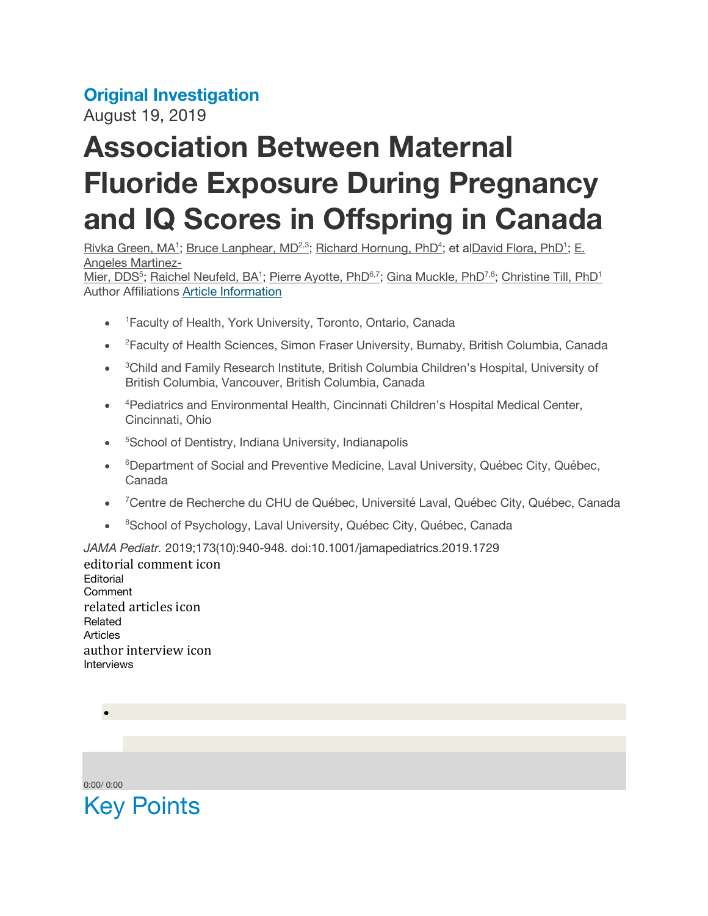## **Original Investigation**

August 19, 2019

## **Association Between Maternal Fluoride Exposure During Pregnancy and IQ Scores in Offspring in Canada**

Rivka Green, MA<sup>1</sup>; Bruce Lanphear, MD<sup>2,3</sup>; Richard Hornung, PhD<sup>4</sup>; et alDavid Flora, PhD<sup>1</sup>; E. Angeles Martinez-

Mier, DDS<sup>5</sup>; Raichel Neufeld, BA<sup>1</sup>; Pierre Ayotte, PhD<sup>6,7</sup>; Gina Muckle, PhD<sup>7,8</sup>; Christine Till, PhD<sup>1</sup> Author Affiliations Article Information

- <sup>1</sup> Faculty of Health, York University, Toronto, Ontario, Canada
- <sup>2</sup> Faculty of Health Sciences, Simon Fraser University, Burnaby, British Columbia, Canada
- <sup>3</sup>Child and Family Research Institute, British Columbia Children's Hospital, University of British Columbia, Vancouver, British Columbia, Canada
- <sup>4</sup> Pediatrics and Environmental Health, Cincinnati Children's Hospital Medical Center, Cincinnati, Ohio
- <sup>5</sup>School of Dentistry, Indiana University, Indianapolis
- <sup>6</sup>Department of Social and Preventive Medicine, Laval University, Québec City, Québec, Canada
- <sup>7</sup> Centre de Recherche du CHU de Québec, Université Laval, Québec City, Québec, Canada
- <sup>8</sup>School of Psychology, Laval University, Québec City, Québec, Canada

*JAMA Pediatr.* 2019;173(10):940-948. doi:10.1001/jamapediatrics.2019.1729 editorial comment icon Editorial **Comment** related articles icon Related Articles author interview icon Interviews

0:00/ 0:00

•

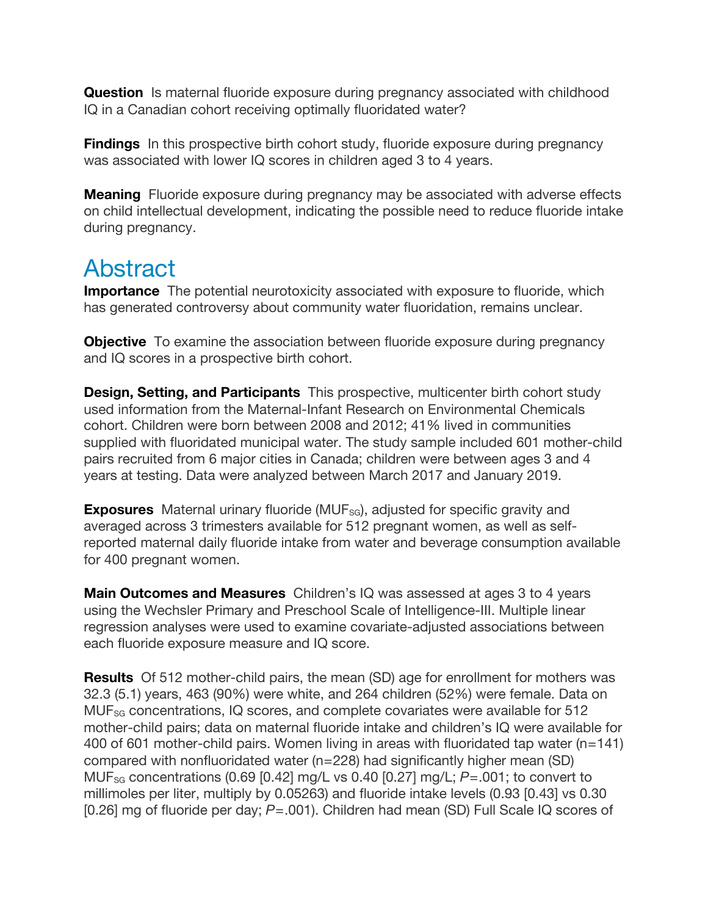**Question** Is maternal fluoride exposure during pregnancy associated with childhood IQ in a Canadian cohort receiving optimally fluoridated water?

**Findings** In this prospective birth cohort study, fluoride exposure during pregnancy was associated with lower IQ scores in children aged 3 to 4 years.

**Meaning** Fluoride exposure during pregnancy may be associated with adverse effects on child intellectual development, indicating the possible need to reduce fluoride intake during pregnancy.

## Abstract

**Importance** The potential neurotoxicity associated with exposure to fluoride, which has generated controversy about community water fluoridation, remains unclear.

**Objective** To examine the association between fluoride exposure during pregnancy and IQ scores in a prospective birth cohort.

**Design, Setting, and Participants** This prospective, multicenter birth cohort study used information from the Maternal-Infant Research on Environmental Chemicals cohort. Children were born between 2008 and 2012; 41% lived in communities supplied with fluoridated municipal water. The study sample included 601 mother-child pairs recruited from 6 major cities in Canada; children were between ages 3 and 4 years at testing. Data were analyzed between March 2017 and January 2019.

**Exposures** Maternal urinary fluoride (MUF<sub>SG</sub>), adjusted for specific gravity and averaged across 3 trimesters available for 512 pregnant women, as well as selfreported maternal daily fluoride intake from water and beverage consumption available for 400 pregnant women.

**Main Outcomes and Measures** Children's IQ was assessed at ages 3 to 4 years using the Wechsler Primary and Preschool Scale of Intelligence-III. Multiple linear regression analyses were used to examine covariate-adjusted associations between each fluoride exposure measure and IQ score.

**Results** Of 512 mother-child pairs, the mean (SD) age for enrollment for mothers was 32.3 (5.1) years, 463 (90%) were white, and 264 children (52%) were female. Data on MUFSG concentrations, IQ scores, and complete covariates were available for 512 mother-child pairs; data on maternal fluoride intake and children's IQ were available for 400 of 601 mother-child pairs. Women living in areas with fluoridated tap water (n=141) compared with nonfluoridated water (n=228) had significantly higher mean (SD) MUFSG concentrations (0.69 [0.42] mg/L vs 0.40 [0.27] mg/L; *P*=.001; to convert to millimoles per liter, multiply by 0.05263) and fluoride intake levels (0.93 [0.43] vs 0.30 [0.26] mg of fluoride per day; *P*=.001). Children had mean (SD) Full Scale IQ scores of